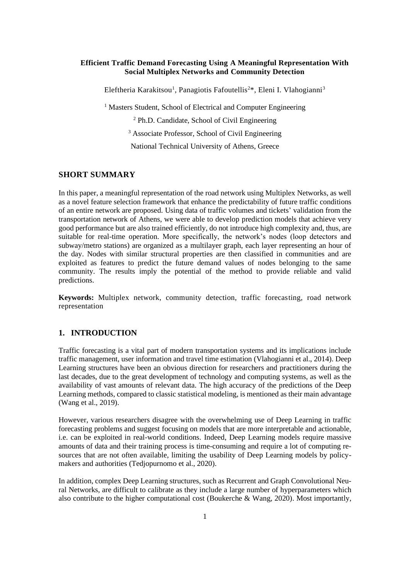#### **Efficient Traffic Demand Forecasting Using A Meaningful Representation With Social Multiplex Networks and Community Detection**

Eleftheria Karakitsou<sup>1</sup>, Panagiotis Fafoutellis<sup>2\*</sup>, Eleni I. Vlahogianni<sup>3</sup>

<sup>1</sup> Masters Student, School of Electrical and Computer Engineering

<sup>2</sup> Ph.D. Candidate, School of Civil Engineering

<sup>3</sup> Associate Professor, School of Civil Engineering

National Technical University of Athens, Greece

## **SHORT SUMMARY**

In this paper, a meaningful representation of the road network using Multiplex Networks, as well as a novel feature selection framework that enhance the predictability of future traffic conditions of an entire network are proposed. Using data of traffic volumes and tickets' validation from the transportation network of Athens, we were able to develop prediction models that achieve very good performance but are also trained efficiently, do not introduce high complexity and, thus, are suitable for real-time operation. More specifically, the network's nodes (loop detectors and subway/metro stations) are organized as a multilayer graph, each layer representing an hour of the day. Nodes with similar structural properties are then classified in communities and are exploited as features to predict the future demand values of nodes belonging to the same community. The results imply the potential of the method to provide reliable and valid predictions.

**Keywords:** Multiplex network, community detection, traffic forecasting, road network representation

### **1. INTRODUCTION**

Traffic forecasting is a vital part of modern transportation systems and its implications include traffic management, user information and travel time estimation (Vlahogianni et al., 2014). Deep Learning structures have been an obvious direction for researchers and practitioners during the last decades, due to the great development of technology and computing systems, as well as the availability of vast amounts of relevant data. The high accuracy of the predictions of the Deep Learning methods, compared to classic statistical modeling, is mentioned as their main advantage (Wang et al., 2019).

However, various researchers disagree with the overwhelming use of Deep Learning in traffic forecasting problems and suggest focusing on models that are more interpretable and actionable, i.e. can be exploited in real-world conditions. Indeed, Deep Learning models require massive amounts of data and their training process is time-consuming and require a lot of computing resources that are not often available, limiting the usability of Deep Learning models by policymakers and authorities (Tedjopurnomo et al., 2020).

In addition, complex Deep Learning structures, such as Recurrent and Graph Convolutional Neural Networks, are difficult to calibrate as they include a large number of hyperparameters which also contribute to the higher computational cost (Boukerche & Wang, 2020). Most importantly,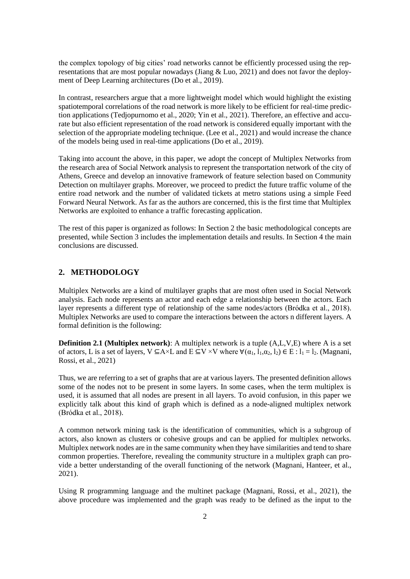the complex topology of big cities' road networks cannot be efficiently processed using the representations that are most popular nowadays (Jiang & Luo, 2021) and does not favor the deployment of Deep Learning architectures (Do et al., 2019).

In contrast, researchers argue that a more lightweight model which would highlight the existing spatiotemporal correlations of the road network is more likely to be efficient for real-time prediction applications (Tedjopurnomo et al., 2020; Yin et al., 2021). Therefore, an effective and accurate but also efficient representation of the road network is considered equally important with the selection of the appropriate modeling technique. (Lee et al., 2021) and would increase the chance of the models being used in real-time applications (Do et al., 2019).

Taking into account the above, in this paper, we adopt the concept of Multiplex Networks from the research area of Social Network analysis to represent the transportation network of the city of Athens, Greece and develop an innovative framework of feature selection based on Community Detection on multilayer graphs. Moreover, we proceed to predict the future traffic volume of the entire road network and the number of validated tickets at metro stations using a simple Feed Forward Neural Network. As far as the authors are concerned, this is the first time that Multiplex Networks are exploited to enhance a traffic forecasting application.

The rest of this paper is organized as follows: In Section 2 the basic methodological concepts are presented, while Section 3 includes the implementation details and results. In Section 4 the main conclusions are discussed.

## **2. METHODOLOGY**

Multiplex Networks are a kind of multilayer graphs that are most often used in Social Network analysis. Each node represents an actor and each edge a relationship between the actors. Each layer represents a different type of relationship of the same nodes/actors (Bródka et al., 2018). Multiplex Networks are used to compare the interactions between the actors n different layers. A formal definition is the following:

**Definition 2.1 (Multiplex network)**: A multiplex network is a tuple (A,L,V,E) where A is a set of actors, L is a set of layers,  $V \subseteq A \times L$  and  $E \subseteq V \times V$  where  $\forall (\alpha_1, l_1, \alpha_2, l_2) \in E : l_1 = l_2$ . (Magnani, Rossi, et al., 2021)

Thus, we are referring to a set of graphs that are at various layers. The presented definition allows some of the nodes not to be present in some layers. In some cases, when the term multiplex is used, it is assumed that all nodes are present in all layers. To avoid confusion, in this paper we explicitly talk about this kind of graph which is defined as a node-aligned multiplex network (Bródka et al., 2018).

A common network mining task is the identification of communities, which is a subgroup of actors, also known as clusters or cohesive groups and can be applied for multiplex networks. Multiplex network nodes are in the same community when they have similarities and tend to share common properties. Therefore, revealing the community structure in a multiplex graph can provide a better understanding of the overall functioning of the network (Magnani, Hanteer, et al., 2021).

Using R programming language and the multinet package (Magnani, Rossi, et al., 2021), the above procedure was implemented and the graph was ready to be defined as the input to the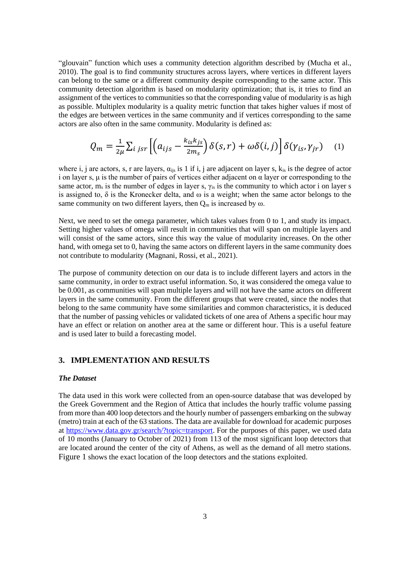"glouvain" function which uses a community detection algorithm described by (Mucha et al., 2010). The goal is to find community structures across layers, where vertices in different layers can belong to the same or a different community despite corresponding to the same actor. This community detection algorithm is based on modularity optimization; that is, it tries to find an assignment of the vertices to communities so that the corresponding value of modularity is as high as possible. Multiplex modularity is a quality metric function that takes higher values if most of the edges are between vertices in the same community and if vertices corresponding to the same actors are also often in the same community. Modularity is defined as:

$$
Q_m = \frac{1}{2\mu} \sum_{i \ jsr} \left[ \left( a_{ijs} - \frac{k_{is}k_{js}}{2m_s} \right) \delta(s,r) + \omega \delta(i,j) \right] \delta(\gamma_{is}, \gamma_{jr}) \quad (1)
$$

where i, j are actors, s, r are layers,  $\alpha_{ijs}$  is 1 if i, j are adjacent on layer s,  $k_{is}$  is the degree of actor i on layer s,  $\mu$  is the number of pairs of vertices either adjacent on  $\alpha$  layer or corresponding to the same actor,  $m_s$  is the number of edges in layer s,  $\gamma_{is}$  is the community to which actor i on layer s is assigned to,  $\delta$  is the Kronecker delta, and  $\omega$  is a weight; when the same actor belongs to the same community on two different layers, then  $Q_m$  is increased by  $\omega$ .

Next, we need to set the omega parameter, which takes values from 0 to 1, and study its impact. Setting higher values of omega will result in communities that will span on multiple layers and will consist of the same actors, since this way the value of modularity increases. On the other hand, with omega set to 0, having the same actors on different layers in the same community does not contribute to modularity (Magnani, Rossi, et al., 2021).

The purpose of community detection on our data is to include different layers and actors in the same community, in order to extract useful information. So, it was considered the omega value to be 0.001, as communities will span multiple layers and will not have the same actors on different layers in the same community. From the different groups that were created, since the nodes that belong to the same community have some similarities and common characteristics, it is deduced that the number of passing vehicles or validated tickets of one area of Athens a specific hour may have an effect or relation on another area at the same or different hour. This is a useful feature and is used later to build a forecasting model.

# **3. IMPLEMENTATION AND RESULTS**

#### *The Dataset*

The data used in this work were collected from an open-source database that was developed by the Greek Government and the Region of Attica that includes the hourly traffic volume passing from more than 400 loop detectors and the hourly number of passengers embarking on the subway (metro) train at each of the 63 stations. The data are available for download for academic purposes at [https://www.data.gov.gr/search/?topic=transport.](https://www.data.gov.gr/search/?topic=transport) For the purposes of this paper, we used data of 10 months (January to October of 2021) from 113 of the most significant loop detectors that are located around the center of the city of Athens, as well as the demand of all metro stations. [Figure 1](#page-3-0) shows the exact location of the loop detectors and the stations exploited.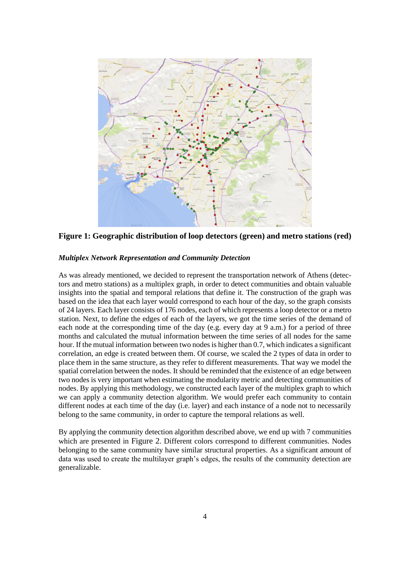

<span id="page-3-0"></span>**Figure 1: Geographic distribution of loop detectors (green) and metro stations (red)**

### *Multiplex Network Representation and Community Detection*

As was already mentioned, we decided to represent the transportation network of Athens (detectors and metro stations) as a multiplex graph, in order to detect communities and obtain valuable insights into the spatial and temporal relations that define it. The construction of the graph was based on the idea that each layer would correspond to each hour of the day, so the graph consists of 24 layers. Each layer consists of 176 nodes, each of which represents a loop detector or a metro station. Next, to define the edges of each of the layers, we got the time series of the demand of each node at the corresponding time of the day (e.g. every day at 9 a.m.) for a period of three months and calculated the mutual information between the time series of all nodes for the same hour. If the mutual information between two nodes is higher than 0.7, which indicates a significant correlation, an edge is created between them. Of course, we scaled the 2 types of data in order to place them in the same structure, as they refer to different measurements. That way we model the spatial correlation between the nodes. It should be reminded that the existence of an edge between two nodes is very important when estimating the modularity metric and detecting communities of nodes. By applying this methodology, we constructed each layer of the multiplex graph to which we can apply a community detection algorithm. We would prefer each community to contain different nodes at each time of the day (i.e. layer) and each instance of a node not to necessarily belong to the same community, in order to capture the temporal relations as well.

By applying the community detection algorithm described above, we end up with 7 communities which are presented in [Figure 2](#page-4-0). Different colors correspond to different communities. Nodes belonging to the same community have similar structural properties. As a significant amount of data was used to create the multilayer graph's edges, the results of the community detection are generalizable.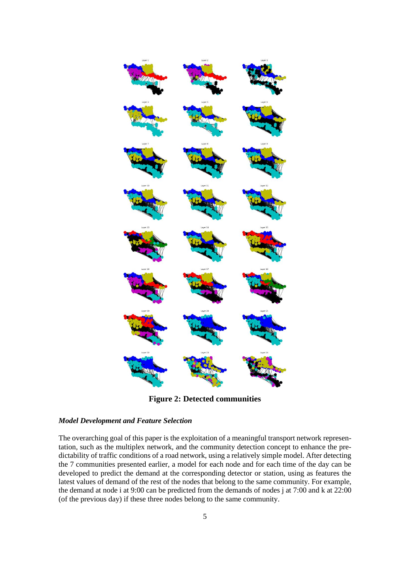

**Figure 2: Detected communities**

## <span id="page-4-0"></span>*Model Development and Feature Selection*

The overarching goal of this paper is the exploitation of a meaningful transport network representation, such as the multiplex network, and the community detection concept to enhance the predictability of traffic conditions of a road network, using a relatively simple model. After detecting the 7 communities presented earlier, a model for each node and for each time of the day can be developed to predict the demand at the corresponding detector or station, using as features the latest values of demand of the rest of the nodes that belong to the same community. For example, the demand at node i at 9:00 can be predicted from the demands of nodes j at 7:00 and k at 22:00 (of the previous day) if these three nodes belong to the same community.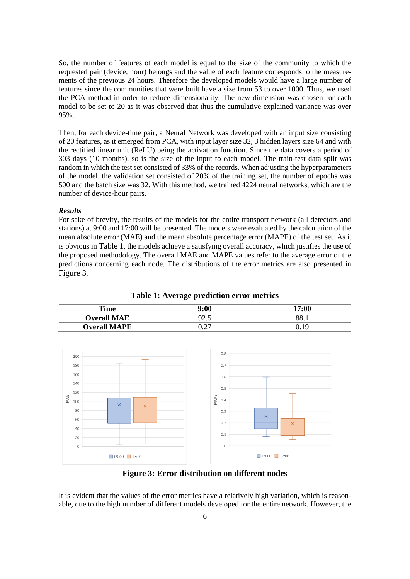So, the number of features of each model is equal to the size of the community to which the requested pair (device, hour) belongs and the value of each feature corresponds to the measurements of the previous 24 hours. Therefore the developed models would have a large number of features since the communities that were built have a size from 53 to over 1000. Thus, we used the PCA method in order to reduce dimensionality. The new dimension was chosen for each model to be set to 20 as it was observed that thus the cumulative explained variance was over 95%.

Then, for each device-time pair, a Neural Network was developed with an input size consisting of 20 features, as it emerged from PCA, with input layer size 32, 3 hidden layers size 64 and with the rectified linear unit (ReLU) being the activation function. Since the data covers a period of 303 days (10 months), so is the size of the input to each model. The train-test data split was random in which the test set consisted of 33% of the records. When adjusting the hyperparameters of the model, the validation set consisted of 20% of the training set, the number of epochs was 500 and the batch size was 32. With this method, we trained 4224 neural networks, which are the number of device-hour pairs.

#### *Results*

For sake of brevity, the results of the models for the entire transport network (all detectors and stations) at 9:00 and 17:00 will be presented. The models were evaluated by the calculation of the mean absolute error (MAE) and the mean absolute percentage error (MAPE) of the test set. As it is obvious in [Table 1](#page-5-0), the models achieve a satisfying overall accuracy, which justifies the use of the proposed methodology. The overall MAE and MAPE values refer to the average error of the predictions concerning each node. The distributions of the error metrics are also presented in [Figure 3](#page-5-1).

**Table 1: Average prediction error metrics**

<span id="page-5-0"></span>

| <b>Time</b>         | 9:00          | 17:00 |
|---------------------|---------------|-------|
| <b>Overall MAE</b>  | ں ک           | 88.   |
| <b>Overall MAPE</b> | $\mathcal{L}$ |       |



**Figure 3: Error distribution on different nodes**

<span id="page-5-1"></span>It is evident that the values of the error metrics have a relatively high variation, which is reasonable, due to the high number of different models developed for the entire network. However, the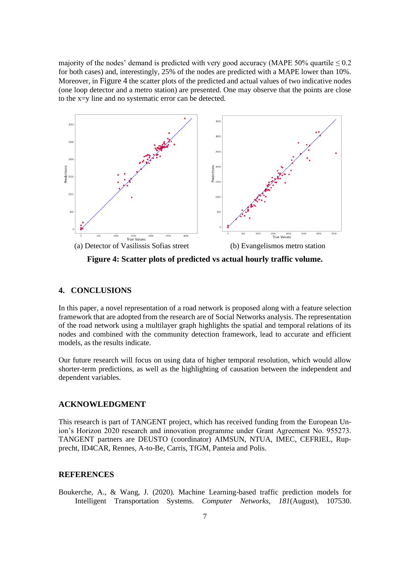majority of the nodes' demand is predicted with very good accuracy (MAPE 50% quartile  $\leq 0.2$ ) for both cases) and, interestingly, 25% of the nodes are predicted with a MAPE lower than 10%. Moreover, in [Figure 4](#page-6-0) the scatter plots of the predicted and actual values of two indicative nodes (one loop detector and a metro station) are presented. One may observe that the points are close to the x=y line and no systematic error can be detected.



<span id="page-6-0"></span>**Figure 4: Scatter plots of predicted vs actual hourly traffic volume.**

# **4. CONCLUSIONS**

In this paper, a novel representation of a road network is proposed along with a feature selection framework that are adopted from the research are of Social Networks analysis. The representation of the road network using a multilayer graph highlights the spatial and temporal relations of its nodes and combined with the community detection framework, lead to accurate and efficient models, as the results indicate.

Our future research will focus on using data of higher temporal resolution, which would allow shorter-term predictions, as well as the highlighting of causation between the independent and dependent variables.

## **ACKNOWLEDGMENT**

This research is part of TANGENT project, which has received funding from the European Union's Horizon 2020 research and innovation programme under Grant Agreement No. 955273. TANGENT partners are DEUSTO (coordinator) AIMSUN, NTUA, IMEC, CEFRIEL, Rupprecht, ID4CAR, Rennes, A-to-Be, Carris, TfGM, Panteia and Polis.

#### **REFERENCES**

Boukerche, A., & Wang, J. (2020). Machine Learning-based traffic prediction models for Intelligent Transportation Systems. *Computer Networks*, *181*(August), 107530.